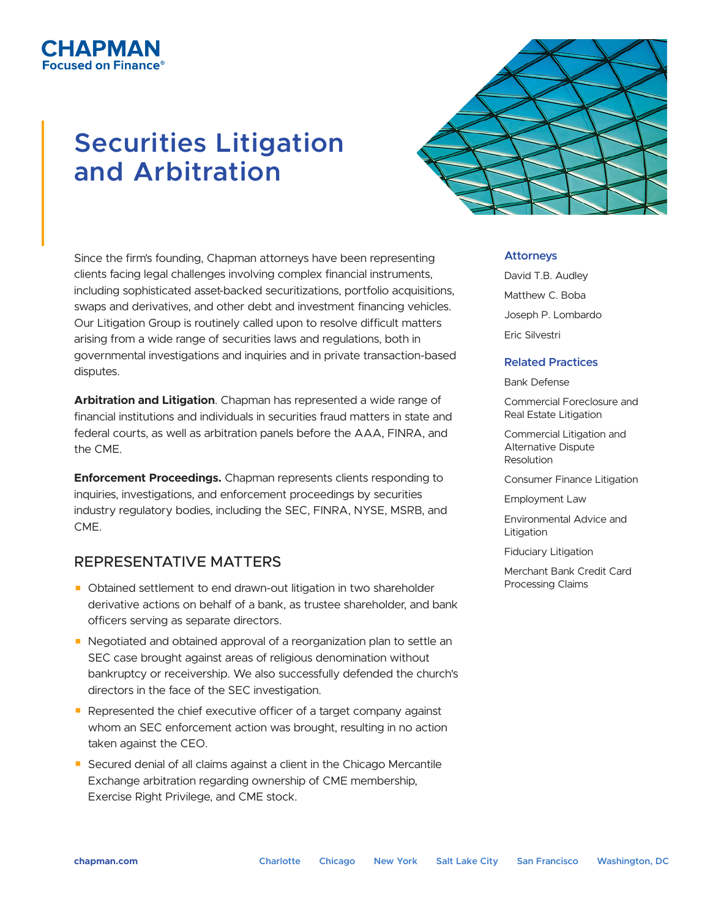# **Securities Litigation and Arbitration**

СНАРМАН sed on Finance

> Since the firm's founding, Chapman attorneys have been representing clients facing legal challenges involving complex financial instruments, including sophisticated asset-backed securitizations, portfolio acquisitions, swaps and derivatives, and other debt and investment financing vehicles. Our Litigation Group is routinely called upon to resolve difficult matters arising from a wide range of securities laws and regulations, both in governmental investigations and inquiries and in private transaction-based disputes.

**Arbitration and Litigation**. Chapman has represented a wide range of financial institutions and individuals in securities fraud matters in state and federal courts, as well as arbitration panels before the AAA, FINRA, and the CME.

**Enforcement Proceedings.** Chapman represents clients responding to inquiries, investigations, and enforcement proceedings by securities industry regulatory bodies, including the SEC, FINRA, NYSE, MSRB, and CME.

# REPRESENTATIVE MATTERS

- Obtained settlement to end drawn-out litigation in two shareholder derivative actions on behalf of a bank, as trustee shareholder, and bank officers serving as separate directors.
- Negotiated and obtained approval of a reorganization plan to settle an SEC case brought against areas of religious denomination without bankruptcy or receivership. We also successfully defended the church's directors in the face of the SEC investigation.
- Represented the chief executive officer of a target company against whom an SEC enforcement action was brought, resulting in no action taken against the CEO.
- Secured denial of all claims against a client in the Chicago Mercantile Exchange arbitration regarding ownership of CME membership, Exercise Right Privilege, and CME stock.

## **Attorneys**

David T.B. Audley Matthew C. Boba Joseph P. Lombardo Eric Silvestri

## **Related Practices**

Bank Defense

Commercial Foreclosure and Real Estate Litigation

Commercial Litigation and Alternative Dispute Resolution

Consumer Finance Litigation

Employment Law

Environmental Advice and Litigation

Fiduciary Litigation

Merchant Bank Credit Card Processing Claims